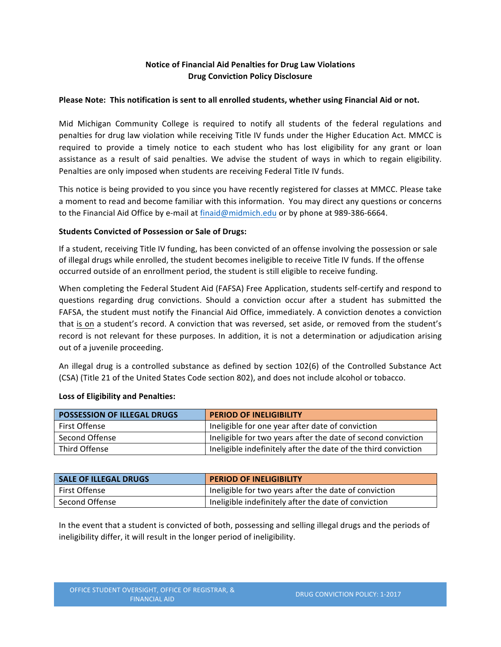# **Notice of Financial Aid Penalties for Drug Law Violations Drug Conviction Policy Disclosure**

### Please Note: This notification is sent to all enrolled students, whether using Financial Aid or not.

Mid Michigan Community College is required to notify all students of the federal regulations and penalties for drug law violation while receiving Title IV funds under the Higher Education Act. MMCC is required to provide a timely notice to each student who has lost eligibility for any grant or loan assistance as a result of said penalties. We advise the student of ways in which to regain eligibility. Penalties are only imposed when students are receiving Federal Title IV funds.

This notice is being provided to you since you have recently registered for classes at MMCC. Please take a moment to read and become familiar with this information. You may direct any questions or concerns to the Financial Aid Office by e-mail at finaid@midmich.edu or by phone at 989-386-6664.

## **Students Convicted of Possession or Sale of Drugs:**

If a student, receiving Title IV funding, has been convicted of an offense involving the possession or sale of illegal drugs while enrolled, the student becomes ineligible to receive Title IV funds. If the offense occurred outside of an enrollment period, the student is still eligible to receive funding.

When completing the Federal Student Aid (FAFSA) Free Application, students self-certify and respond to questions regarding drug convictions. Should a conviction occur after a student has submitted the FAFSA, the student must notify the Financial Aid Office, immediately. A conviction denotes a conviction that is on a student's record. A conviction that was reversed, set aside, or removed from the student's record is not relevant for these purposes. In addition, it is not a determination or adjudication arising out of a juvenile proceeding.

An illegal drug is a controlled substance as defined by section 102(6) of the Controlled Substance Act (CSA) (Title 21 of the United States Code section 802), and does not include alcohol or tobacco.

| POSSESSION OF ILLEGAL DRUGS | <b>PERIOD OF INELIGIBILITY</b>                                 |
|-----------------------------|----------------------------------------------------------------|
| First Offense               | Ineligible for one year after date of conviction               |
| Second Offense              | Ineligible for two years after the date of second conviction   |
| Third Offense               | Ineligible indefinitely after the date of the third conviction |

## Loss of Eligibility and Penalties:

| <b>SALE OF ILLEGAL DRUGS</b> | <b>PERIOD OF INELIGIBILITY</b>                        |
|------------------------------|-------------------------------------------------------|
| First Offense                | Ineligible for two years after the date of conviction |
| Second Offense               | Ineligible indefinitely after the date of conviction  |

In the event that a student is convicted of both, possessing and selling illegal drugs and the periods of ineligibility differ, it will result in the longer period of ineligibility.